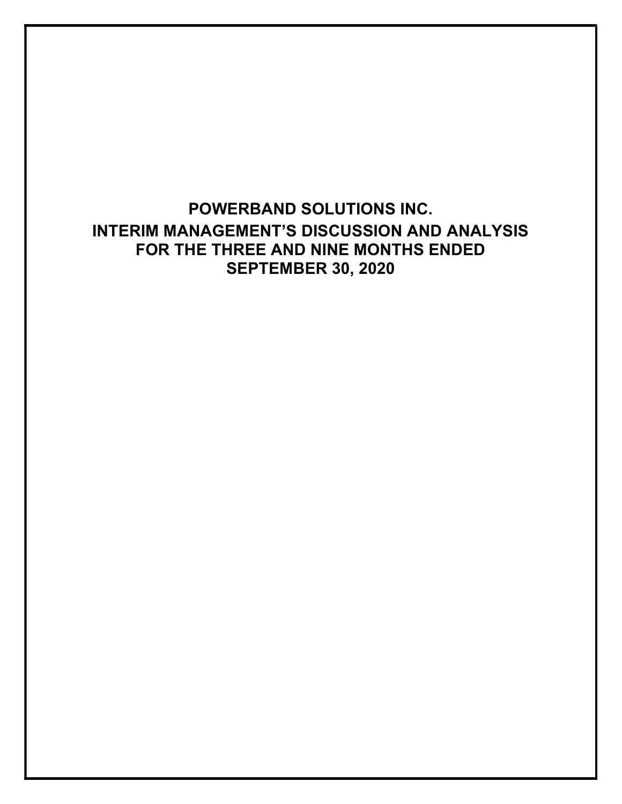POWERBAND SOLUTIONS INC. INTERIM MANAGEMENT'S DISCUSSION AND ANALYSIS FOR THE THREE AND NINE MONTHS ENDED SEPTEMBER 30, 2020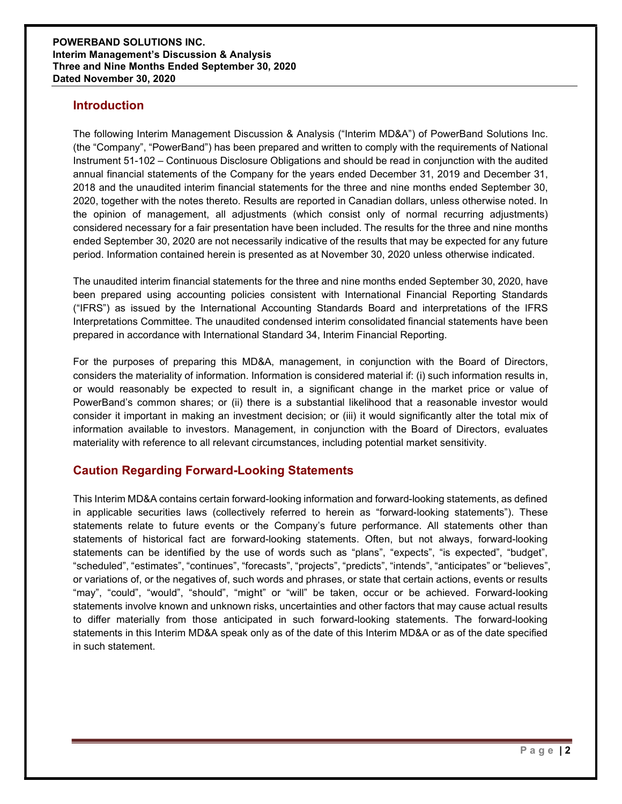## **Introduction**

The following Interim Management Discussion & Analysis ("Interim MD&A") of PowerBand Solutions Inc. (the "Company", "PowerBand") has been prepared and written to comply with the requirements of National Instrument 51-102 – Continuous Disclosure Obligations and should be read in conjunction with the audited annual financial statements of the Company for the years ended December 31, 2019 and December 31, 2018 and the unaudited interim financial statements for the three and nine months ended September 30, 2020, together with the notes thereto. Results are reported in Canadian dollars, unless otherwise noted. In the opinion of management, all adjustments (which consist only of normal recurring adjustments) considered necessary for a fair presentation have been included. The results for the three and nine months ended September 30, 2020 are not necessarily indicative of the results that may be expected for any future period. Information contained herein is presented as at November 30, 2020 unless otherwise indicated.

The unaudited interim financial statements for the three and nine months ended September 30, 2020, have been prepared using accounting policies consistent with International Financial Reporting Standards ("IFRS") as issued by the International Accounting Standards Board and interpretations of the IFRS Interpretations Committee. The unaudited condensed interim consolidated financial statements have been prepared in accordance with International Standard 34, Interim Financial Reporting.

For the purposes of preparing this MD&A, management, in conjunction with the Board of Directors, considers the materiality of information. Information is considered material if: (i) such information results in, or would reasonably be expected to result in, a significant change in the market price or value of PowerBand's common shares; or (ii) there is a substantial likelihood that a reasonable investor would consider it important in making an investment decision; or (iii) it would significantly alter the total mix of information available to investors. Management, in conjunction with the Board of Directors, evaluates materiality with reference to all relevant circumstances, including potential market sensitivity.

# Caution Regarding Forward-Looking Statements

This Interim MD&A contains certain forward-looking information and forward-looking statements, as defined in applicable securities laws (collectively referred to herein as "forward-looking statements"). These statements relate to future events or the Company's future performance. All statements other than statements of historical fact are forward-looking statements. Often, but not always, forward-looking statements can be identified by the use of words such as "plans", "expects", "is expected", "budget", "scheduled", "estimates", "continues", "forecasts", "projects", "predicts", "intends", "anticipates" or "believes", or variations of, or the negatives of, such words and phrases, or state that certain actions, events or results "may", "could", "would", "should", "might" or "will" be taken, occur or be achieved. Forward-looking statements involve known and unknown risks, uncertainties and other factors that may cause actual results to differ materially from those anticipated in such forward-looking statements. The forward-looking statements in this Interim MD&A speak only as of the date of this Interim MD&A or as of the date specified in such statement.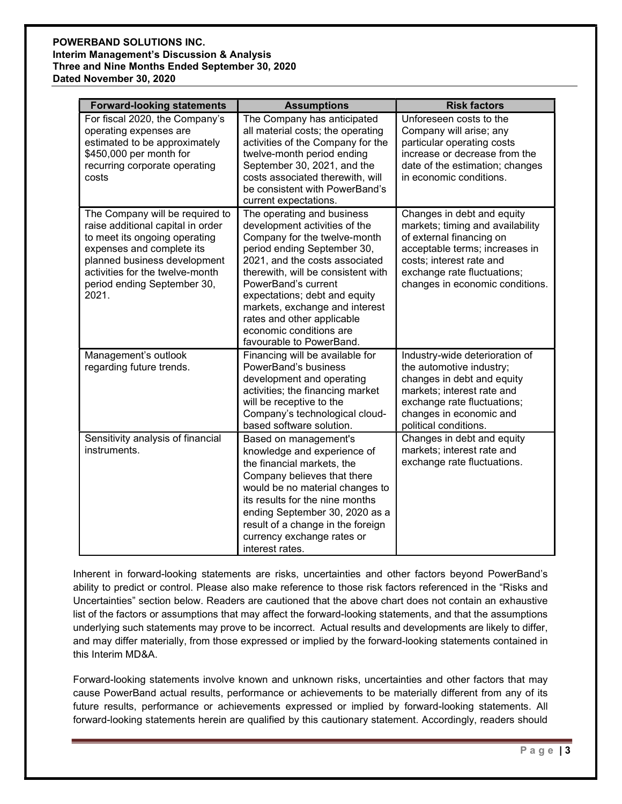| <b>Forward-looking statements</b>                                                                                                                                                                                                             | <b>Assumptions</b>                                                                                                                                                                                                                                                                                                                                                                | <b>Risk factors</b>                                                                                                                                                                                                        |
|-----------------------------------------------------------------------------------------------------------------------------------------------------------------------------------------------------------------------------------------------|-----------------------------------------------------------------------------------------------------------------------------------------------------------------------------------------------------------------------------------------------------------------------------------------------------------------------------------------------------------------------------------|----------------------------------------------------------------------------------------------------------------------------------------------------------------------------------------------------------------------------|
| For fiscal 2020, the Company's<br>operating expenses are<br>estimated to be approximately<br>\$450,000 per month for<br>recurring corporate operating<br>costs                                                                                | The Company has anticipated<br>all material costs; the operating<br>activities of the Company for the<br>twelve-month period ending<br>September 30, 2021, and the<br>costs associated therewith, will<br>be consistent with PowerBand's<br>current expectations.                                                                                                                 | Unforeseen costs to the<br>Company will arise; any<br>particular operating costs<br>increase or decrease from the<br>date of the estimation; changes<br>in economic conditions.                                            |
| The Company will be required to<br>raise additional capital in order<br>to meet its ongoing operating<br>expenses and complete its<br>planned business development<br>activities for the twelve-month<br>period ending September 30,<br>2021. | The operating and business<br>development activities of the<br>Company for the twelve-month<br>period ending September 30,<br>2021, and the costs associated<br>therewith, will be consistent with<br>PowerBand's current<br>expectations; debt and equity<br>markets, exchange and interest<br>rates and other applicable<br>economic conditions are<br>favourable to PowerBand. | Changes in debt and equity<br>markets; timing and availability<br>of external financing on<br>acceptable terms; increases in<br>costs; interest rate and<br>exchange rate fluctuations;<br>changes in economic conditions. |
| Management's outlook<br>regarding future trends.                                                                                                                                                                                              | Financing will be available for<br>PowerBand's business<br>development and operating<br>activities; the financing market<br>will be receptive to the<br>Company's technological cloud-<br>based software solution.                                                                                                                                                                | Industry-wide deterioration of<br>the automotive industry;<br>changes in debt and equity<br>markets; interest rate and<br>exchange rate fluctuations;<br>changes in economic and<br>political conditions.                  |
| Sensitivity analysis of financial<br>instruments.                                                                                                                                                                                             | Based on management's<br>knowledge and experience of<br>the financial markets, the<br>Company believes that there<br>would be no material changes to<br>its results for the nine months<br>ending September 30, 2020 as a<br>result of a change in the foreign<br>currency exchange rates or<br>interest rates.                                                                   | Changes in debt and equity<br>markets; interest rate and<br>exchange rate fluctuations.                                                                                                                                    |

Inherent in forward-looking statements are risks, uncertainties and other factors beyond PowerBand's ability to predict or control. Please also make reference to those risk factors referenced in the "Risks and Uncertainties" section below. Readers are cautioned that the above chart does not contain an exhaustive list of the factors or assumptions that may affect the forward-looking statements, and that the assumptions underlying such statements may prove to be incorrect. Actual results and developments are likely to differ, and may differ materially, from those expressed or implied by the forward-looking statements contained in this Interim MD&A.

Forward-looking statements involve known and unknown risks, uncertainties and other factors that may cause PowerBand actual results, performance or achievements to be materially different from any of its future results, performance or achievements expressed or implied by forward-looking statements. All forward-looking statements herein are qualified by this cautionary statement. Accordingly, readers should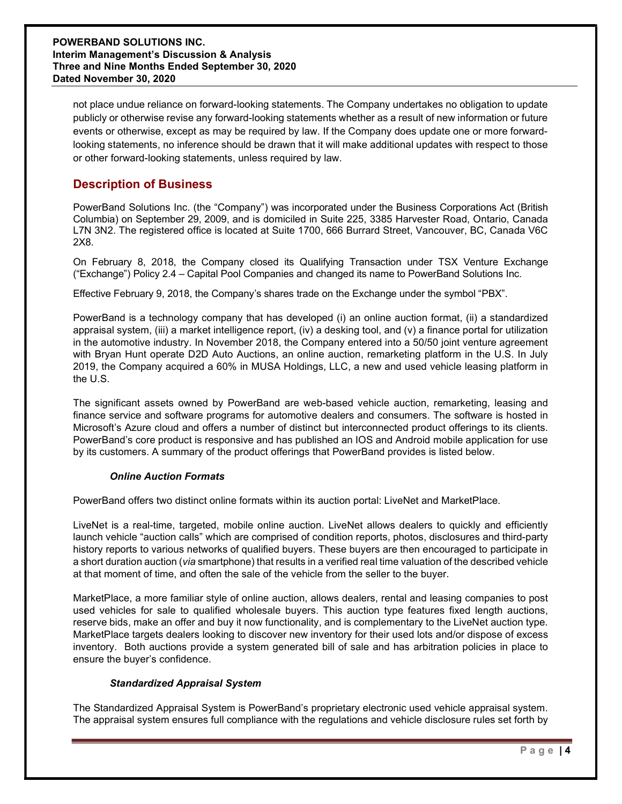not place undue reliance on forward-looking statements. The Company undertakes no obligation to update publicly or otherwise revise any forward-looking statements whether as a result of new information or future events or otherwise, except as may be required by law. If the Company does update one or more forwardlooking statements, no inference should be drawn that it will make additional updates with respect to those or other forward-looking statements, unless required by law.

# Description of Business

PowerBand Solutions Inc. (the "Company") was incorporated under the Business Corporations Act (British Columbia) on September 29, 2009, and is domiciled in Suite 225, 3385 Harvester Road, Ontario, Canada L7N 3N2. The registered office is located at Suite 1700, 666 Burrard Street, Vancouver, BC, Canada V6C 2X8.

On February 8, 2018, the Company closed its Qualifying Transaction under TSX Venture Exchange ("Exchange") Policy 2.4 – Capital Pool Companies and changed its name to PowerBand Solutions Inc.

Effective February 9, 2018, the Company's shares trade on the Exchange under the symbol "PBX".

PowerBand is a technology company that has developed (i) an online auction format, (ii) a standardized appraisal system, (iii) a market intelligence report, (iv) a desking tool, and (v) a finance portal for utilization in the automotive industry. In November 2018, the Company entered into a 50/50 joint venture agreement with Bryan Hunt operate D2D Auto Auctions, an online auction, remarketing platform in the U.S. In July 2019, the Company acquired a 60% in MUSA Holdings, LLC, a new and used vehicle leasing platform in the U.S.

The significant assets owned by PowerBand are web-based vehicle auction, remarketing, leasing and finance service and software programs for automotive dealers and consumers. The software is hosted in Microsoft's Azure cloud and offers a number of distinct but interconnected product offerings to its clients. PowerBand's core product is responsive and has published an IOS and Android mobile application for use by its customers. A summary of the product offerings that PowerBand provides is listed below.

### Online Auction Formats

PowerBand offers two distinct online formats within its auction portal: LiveNet and MarketPlace.

LiveNet is a real-time, targeted, mobile online auction. LiveNet allows dealers to quickly and efficiently launch vehicle "auction calls" which are comprised of condition reports, photos, disclosures and third-party history reports to various networks of qualified buyers. These buyers are then encouraged to participate in a short duration auction (via smartphone) that results in a verified real time valuation of the described vehicle at that moment of time, and often the sale of the vehicle from the seller to the buyer.

MarketPlace, a more familiar style of online auction, allows dealers, rental and leasing companies to post used vehicles for sale to qualified wholesale buyers. This auction type features fixed length auctions, reserve bids, make an offer and buy it now functionality, and is complementary to the LiveNet auction type. MarketPlace targets dealers looking to discover new inventory for their used lots and/or dispose of excess inventory. Both auctions provide a system generated bill of sale and has arbitration policies in place to ensure the buyer's confidence.

### Standardized Appraisal System

The Standardized Appraisal System is PowerBand's proprietary electronic used vehicle appraisal system. The appraisal system ensures full compliance with the regulations and vehicle disclosure rules set forth by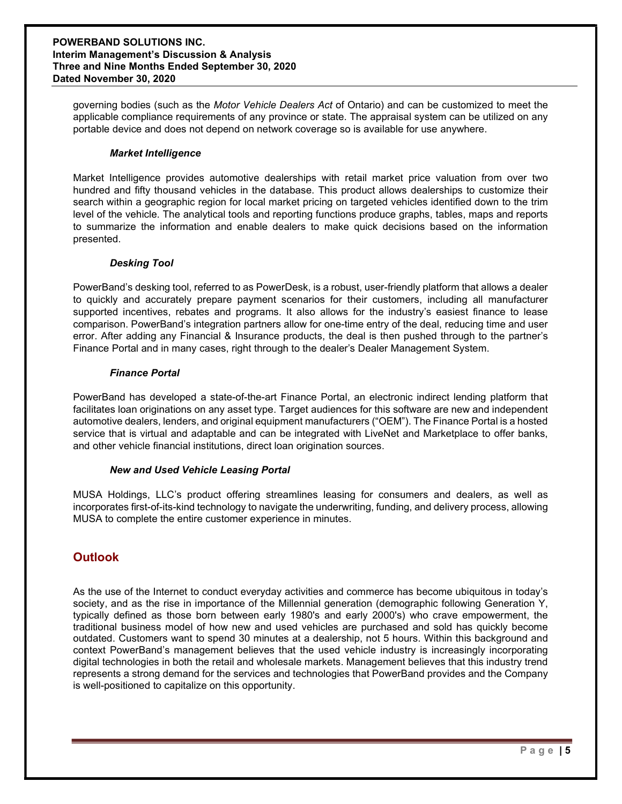governing bodies (such as the Motor Vehicle Dealers Act of Ontario) and can be customized to meet the applicable compliance requirements of any province or state. The appraisal system can be utilized on any portable device and does not depend on network coverage so is available for use anywhere.

#### Market Intelligence

Market Intelligence provides automotive dealerships with retail market price valuation from over two hundred and fifty thousand vehicles in the database. This product allows dealerships to customize their search within a geographic region for local market pricing on targeted vehicles identified down to the trim level of the vehicle. The analytical tools and reporting functions produce graphs, tables, maps and reports to summarize the information and enable dealers to make quick decisions based on the information presented.

#### Desking Tool

PowerBand's desking tool, referred to as PowerDesk, is a robust, user-friendly platform that allows a dealer to quickly and accurately prepare payment scenarios for their customers, including all manufacturer supported incentives, rebates and programs. It also allows for the industry's easiest finance to lease comparison. PowerBand's integration partners allow for one-time entry of the deal, reducing time and user error. After adding any Financial & Insurance products, the deal is then pushed through to the partner's Finance Portal and in many cases, right through to the dealer's Dealer Management System.

#### Finance Portal

PowerBand has developed a state-of-the-art Finance Portal, an electronic indirect lending platform that facilitates loan originations on any asset type. Target audiences for this software are new and independent automotive dealers, lenders, and original equipment manufacturers ("OEM"). The Finance Portal is a hosted service that is virtual and adaptable and can be integrated with LiveNet and Marketplace to offer banks, and other vehicle financial institutions, direct loan origination sources.

#### New and Used Vehicle Leasing Portal

MUSA Holdings, LLC's product offering streamlines leasing for consumers and dealers, as well as incorporates first-of-its-kind technology to navigate the underwriting, funding, and delivery process, allowing MUSA to complete the entire customer experience in minutes.

# **Outlook**

As the use of the Internet to conduct everyday activities and commerce has become ubiquitous in today's society, and as the rise in importance of the Millennial generation (demographic following Generation Y, typically defined as those born between early 1980's and early 2000's) who crave empowerment, the traditional business model of how new and used vehicles are purchased and sold has quickly become outdated. Customers want to spend 30 minutes at a dealership, not 5 hours. Within this background and context PowerBand's management believes that the used vehicle industry is increasingly incorporating digital technologies in both the retail and wholesale markets. Management believes that this industry trend represents a strong demand for the services and technologies that PowerBand provides and the Company is well-positioned to capitalize on this opportunity.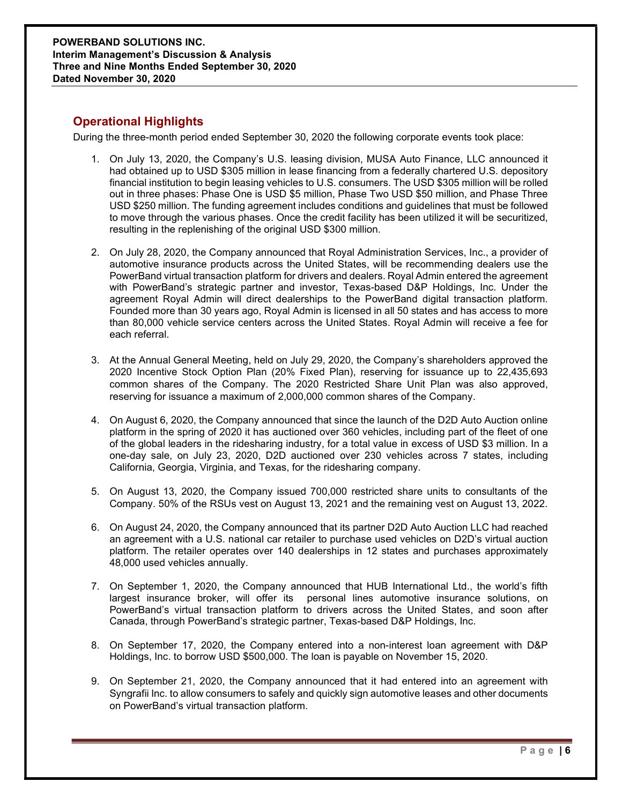# Operational Highlights

During the three-month period ended September 30, 2020 the following corporate events took place:

- 1. On July 13, 2020, the Company's U.S. leasing division, MUSA Auto Finance, LLC announced it had obtained up to USD \$305 million in lease financing from a federally chartered U.S. depository financial institution to begin leasing vehicles to U.S. consumers. The USD \$305 million will be rolled out in three phases: Phase One is USD \$5 million, Phase Two USD \$50 million, and Phase Three USD \$250 million. The funding agreement includes conditions and guidelines that must be followed to move through the various phases. Once the credit facility has been utilized it will be securitized, resulting in the replenishing of the original USD \$300 million.
- 2. On July 28, 2020, the Company announced that Royal Administration Services, Inc., a provider of automotive insurance products across the United States, will be recommending dealers use the PowerBand virtual transaction platform for drivers and dealers. Royal Admin entered the agreement with PowerBand's strategic partner and investor, Texas-based D&P Holdings, Inc. Under the agreement Royal Admin will direct dealerships to the PowerBand digital transaction platform. Founded more than 30 years ago, Royal Admin is licensed in all 50 states and has access to more than 80,000 vehicle service centers across the United States. Royal Admin will receive a fee for each referral.
- 3. At the Annual General Meeting, held on July 29, 2020, the Company's shareholders approved the 2020 Incentive Stock Option Plan (20% Fixed Plan), reserving for issuance up to 22,435,693 common shares of the Company. The 2020 Restricted Share Unit Plan was also approved, reserving for issuance a maximum of 2,000,000 common shares of the Company.
- 4. On August 6, 2020, the Company announced that since the launch of the D2D Auto Auction online platform in the spring of 2020 it has auctioned over 360 vehicles, including part of the fleet of one of the global leaders in the ridesharing industry, for a total value in excess of USD \$3 million. In a one-day sale, on July 23, 2020, D2D auctioned over 230 vehicles across 7 states, including California, Georgia, Virginia, and Texas, for the ridesharing company.
- 5. On August 13, 2020, the Company issued 700,000 restricted share units to consultants of the Company. 50% of the RSUs vest on August 13, 2021 and the remaining vest on August 13, 2022.
- 6. On August 24, 2020, the Company announced that its partner D2D Auto Auction LLC had reached an agreement with a U.S. national car retailer to purchase used vehicles on D2D's virtual auction platform. The retailer operates over 140 dealerships in 12 states and purchases approximately 48,000 used vehicles annually.
- 7. On September 1, 2020, the Company announced that HUB International Ltd., the world's fifth largest insurance broker, will offer its personal lines automotive insurance solutions, on PowerBand's virtual transaction platform to drivers across the United States, and soon after Canada, through PowerBand's strategic partner, Texas-based D&P Holdings, Inc.
- 8. On September 17, 2020, the Company entered into a non-interest loan agreement with D&P Holdings, Inc. to borrow USD \$500,000. The loan is payable on November 15, 2020.
- 9. On September 21, 2020, the Company announced that it had entered into an agreement with Syngrafii Inc. to allow consumers to safely and quickly sign automotive leases and other documents on PowerBand's virtual transaction platform.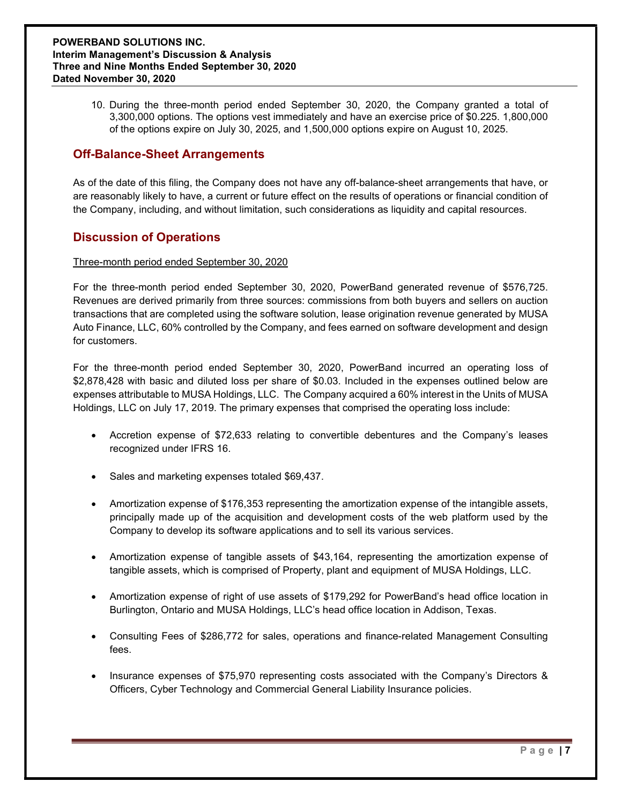10. During the three-month period ended September 30, 2020, the Company granted a total of 3,300,000 options. The options vest immediately and have an exercise price of \$0.225. 1,800,000 of the options expire on July 30, 2025, and 1,500,000 options expire on August 10, 2025.

# Off-Balance-Sheet Arrangements

As of the date of this filing, the Company does not have any off-balance-sheet arrangements that have, or are reasonably likely to have, a current or future effect on the results of operations or financial condition of the Company, including, and without limitation, such considerations as liquidity and capital resources.

## Discussion of Operations

#### Three-month period ended September 30, 2020

For the three-month period ended September 30, 2020, PowerBand generated revenue of \$576,725. Revenues are derived primarily from three sources: commissions from both buyers and sellers on auction transactions that are completed using the software solution, lease origination revenue generated by MUSA Auto Finance, LLC, 60% controlled by the Company, and fees earned on software development and design for customers.

For the three-month period ended September 30, 2020, PowerBand incurred an operating loss of \$2,878,428 with basic and diluted loss per share of \$0.03. Included in the expenses outlined below are expenses attributable to MUSA Holdings, LLC. The Company acquired a 60% interest in the Units of MUSA Holdings, LLC on July 17, 2019. The primary expenses that comprised the operating loss include:

- Accretion expense of \$72,633 relating to convertible debentures and the Company's leases recognized under IFRS 16.
- Sales and marketing expenses totaled \$69,437.
- Amortization expense of \$176,353 representing the amortization expense of the intangible assets, principally made up of the acquisition and development costs of the web platform used by the Company to develop its software applications and to sell its various services.
- Amortization expense of tangible assets of \$43,164, representing the amortization expense of tangible assets, which is comprised of Property, plant and equipment of MUSA Holdings, LLC.
- Amortization expense of right of use assets of \$179,292 for PowerBand's head office location in Burlington, Ontario and MUSA Holdings, LLC's head office location in Addison, Texas.
- Consulting Fees of \$286,772 for sales, operations and finance-related Management Consulting fees.
- Insurance expenses of \$75,970 representing costs associated with the Company's Directors & Officers, Cyber Technology and Commercial General Liability Insurance policies.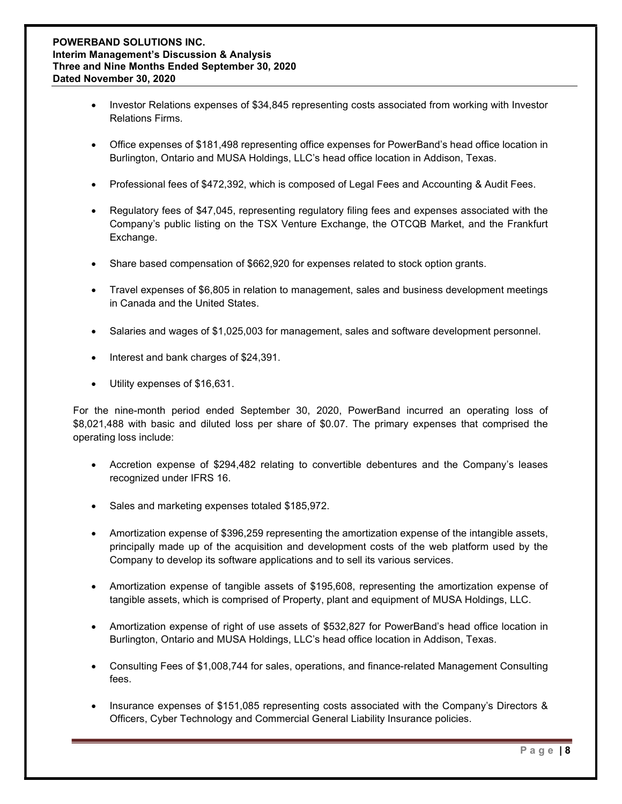- Investor Relations expenses of \$34,845 representing costs associated from working with Investor Relations Firms.
- Office expenses of \$181,498 representing office expenses for PowerBand's head office location in Burlington, Ontario and MUSA Holdings, LLC's head office location in Addison, Texas.
- Professional fees of \$472,392, which is composed of Legal Fees and Accounting & Audit Fees.
- Regulatory fees of \$47,045, representing regulatory filing fees and expenses associated with the Company's public listing on the TSX Venture Exchange, the OTCQB Market, and the Frankfurt Exchange.
- Share based compensation of \$662,920 for expenses related to stock option grants.
- Travel expenses of \$6,805 in relation to management, sales and business development meetings in Canada and the United States.
- Salaries and wages of \$1,025,003 for management, sales and software development personnel.
- Interest and bank charges of \$24,391.
- Utility expenses of \$16,631.

For the nine-month period ended September 30, 2020, PowerBand incurred an operating loss of \$8,021,488 with basic and diluted loss per share of \$0.07. The primary expenses that comprised the operating loss include:

- Accretion expense of \$294,482 relating to convertible debentures and the Company's leases recognized under IFRS 16.
- Sales and marketing expenses totaled \$185,972.
- Amortization expense of \$396,259 representing the amortization expense of the intangible assets, principally made up of the acquisition and development costs of the web platform used by the Company to develop its software applications and to sell its various services.
- Amortization expense of tangible assets of \$195,608, representing the amortization expense of tangible assets, which is comprised of Property, plant and equipment of MUSA Holdings, LLC.
- Amortization expense of right of use assets of \$532,827 for PowerBand's head office location in Burlington, Ontario and MUSA Holdings, LLC's head office location in Addison, Texas.
- Consulting Fees of \$1,008,744 for sales, operations, and finance-related Management Consulting fees.
- Insurance expenses of \$151,085 representing costs associated with the Company's Directors & Officers, Cyber Technology and Commercial General Liability Insurance policies.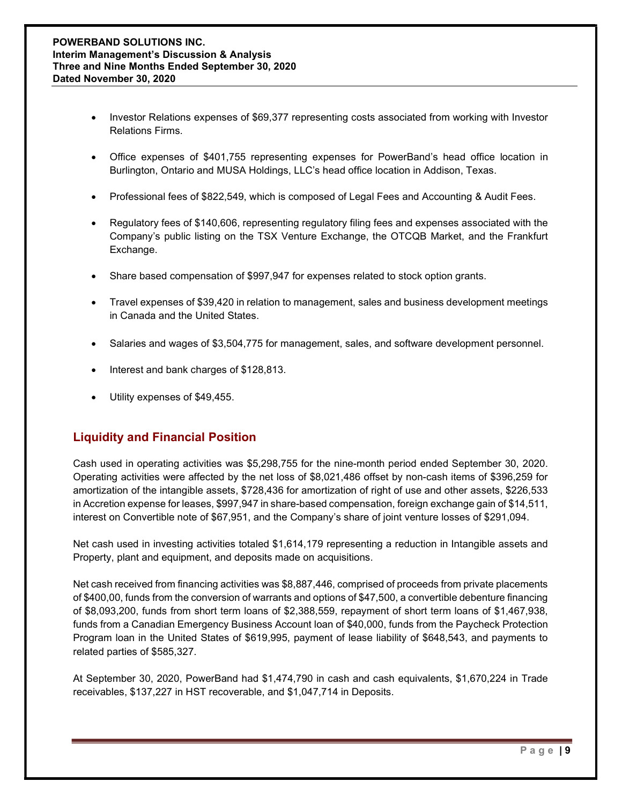- Investor Relations expenses of \$69,377 representing costs associated from working with Investor Relations Firms.
- Office expenses of \$401,755 representing expenses for PowerBand's head office location in Burlington, Ontario and MUSA Holdings, LLC's head office location in Addison, Texas.
- Professional fees of \$822,549, which is composed of Legal Fees and Accounting & Audit Fees.
- Regulatory fees of \$140,606, representing regulatory filing fees and expenses associated with the Company's public listing on the TSX Venture Exchange, the OTCQB Market, and the Frankfurt Exchange.
- Share based compensation of \$997,947 for expenses related to stock option grants.
- Travel expenses of \$39,420 in relation to management, sales and business development meetings in Canada and the United States.
- Salaries and wages of \$3,504,775 for management, sales, and software development personnel.
- Interest and bank charges of \$128,813.
- Utility expenses of \$49,455.

# Liquidity and Financial Position

Cash used in operating activities was \$5,298,755 for the nine-month period ended September 30, 2020. Operating activities were affected by the net loss of \$8,021,486 offset by non-cash items of \$396,259 for amortization of the intangible assets, \$728,436 for amortization of right of use and other assets, \$226,533 in Accretion expense for leases, \$997,947 in share-based compensation, foreign exchange gain of \$14,511, interest on Convertible note of \$67,951, and the Company's share of joint venture losses of \$291,094.

Net cash used in investing activities totaled \$1,614,179 representing a reduction in Intangible assets and Property, plant and equipment, and deposits made on acquisitions.

Net cash received from financing activities was \$8,887,446, comprised of proceeds from private placements of \$400,00, funds from the conversion of warrants and options of \$47,500, a convertible debenture financing of \$8,093,200, funds from short term loans of \$2,388,559, repayment of short term loans of \$1,467,938, funds from a Canadian Emergency Business Account loan of \$40,000, funds from the Paycheck Protection Program loan in the United States of \$619,995, payment of lease liability of \$648,543, and payments to related parties of \$585,327.

At September 30, 2020, PowerBand had \$1,474,790 in cash and cash equivalents, \$1,670,224 in Trade receivables, \$137,227 in HST recoverable, and \$1,047,714 in Deposits.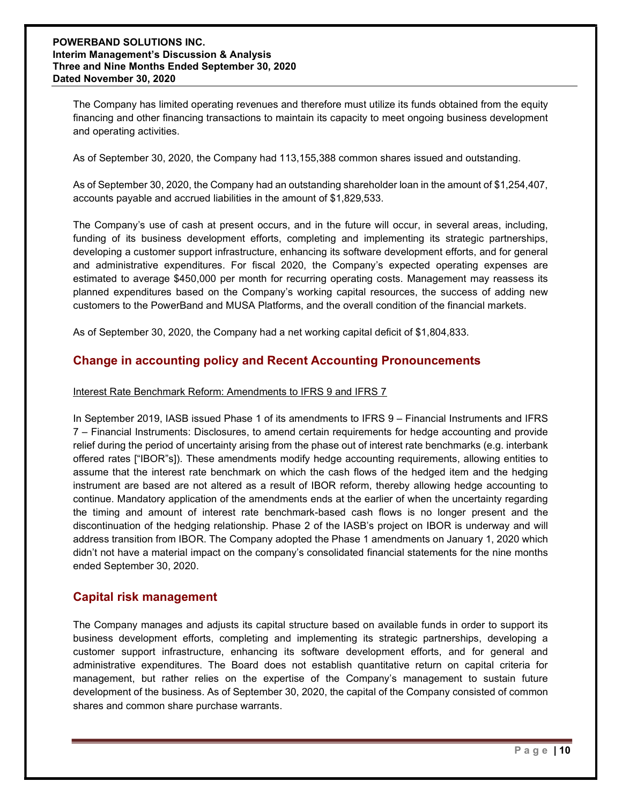The Company has limited operating revenues and therefore must utilize its funds obtained from the equity financing and other financing transactions to maintain its capacity to meet ongoing business development and operating activities.

As of September 30, 2020, the Company had 113,155,388 common shares issued and outstanding.

As of September 30, 2020, the Company had an outstanding shareholder loan in the amount of \$1,254,407, accounts payable and accrued liabilities in the amount of \$1,829,533.

The Company's use of cash at present occurs, and in the future will occur, in several areas, including, funding of its business development efforts, completing and implementing its strategic partnerships, developing a customer support infrastructure, enhancing its software development efforts, and for general and administrative expenditures. For fiscal 2020, the Company's expected operating expenses are estimated to average \$450,000 per month for recurring operating costs. Management may reassess its planned expenditures based on the Company's working capital resources, the success of adding new customers to the PowerBand and MUSA Platforms, and the overall condition of the financial markets.

As of September 30, 2020, the Company had a net working capital deficit of \$1,804,833.

### Change in accounting policy and Recent Accounting Pronouncements

#### Interest Rate Benchmark Reform: Amendments to IFRS 9 and IFRS 7

In September 2019, IASB issued Phase 1 of its amendments to IFRS 9 – Financial Instruments and IFRS 7 – Financial Instruments: Disclosures, to amend certain requirements for hedge accounting and provide relief during the period of uncertainty arising from the phase out of interest rate benchmarks (e.g. interbank offered rates ["IBOR"s]). These amendments modify hedge accounting requirements, allowing entities to assume that the interest rate benchmark on which the cash flows of the hedged item and the hedging instrument are based are not altered as a result of IBOR reform, thereby allowing hedge accounting to continue. Mandatory application of the amendments ends at the earlier of when the uncertainty regarding the timing and amount of interest rate benchmark-based cash flows is no longer present and the discontinuation of the hedging relationship. Phase 2 of the IASB's project on IBOR is underway and will address transition from IBOR. The Company adopted the Phase 1 amendments on January 1, 2020 which didn't not have a material impact on the company's consolidated financial statements for the nine months ended September 30, 2020.

### Capital risk management

The Company manages and adjusts its capital structure based on available funds in order to support its business development efforts, completing and implementing its strategic partnerships, developing a customer support infrastructure, enhancing its software development efforts, and for general and administrative expenditures. The Board does not establish quantitative return on capital criteria for management, but rather relies on the expertise of the Company's management to sustain future development of the business. As of September 30, 2020, the capital of the Company consisted of common shares and common share purchase warrants.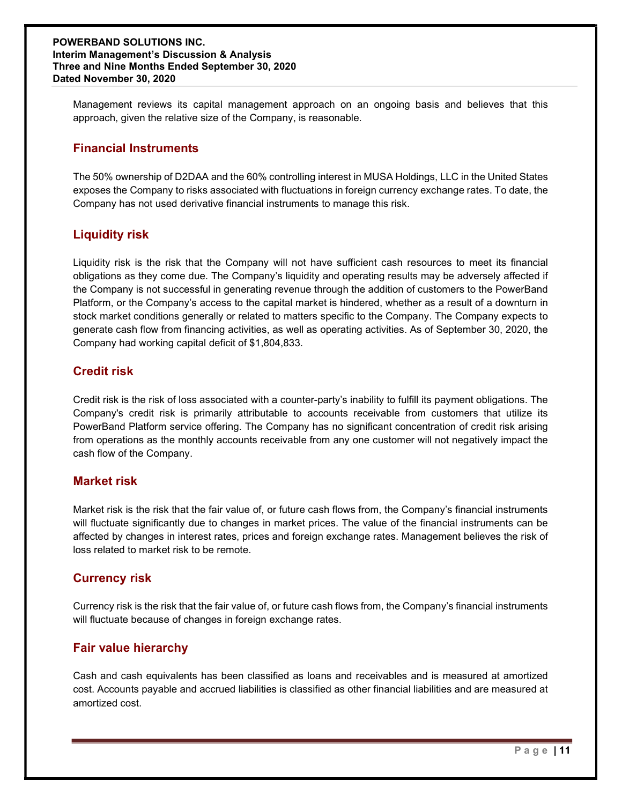Management reviews its capital management approach on an ongoing basis and believes that this approach, given the relative size of the Company, is reasonable.

### Financial Instruments

The 50% ownership of D2DAA and the 60% controlling interest in MUSA Holdings, LLC in the United States exposes the Company to risks associated with fluctuations in foreign currency exchange rates. To date, the Company has not used derivative financial instruments to manage this risk.

## Liquidity risk

Liquidity risk is the risk that the Company will not have sufficient cash resources to meet its financial obligations as they come due. The Company's liquidity and operating results may be adversely affected if the Company is not successful in generating revenue through the addition of customers to the PowerBand Platform, or the Company's access to the capital market is hindered, whether as a result of a downturn in stock market conditions generally or related to matters specific to the Company. The Company expects to generate cash flow from financing activities, as well as operating activities. As of September 30, 2020, the Company had working capital deficit of \$1,804,833.

### Credit risk

Credit risk is the risk of loss associated with a counter-party's inability to fulfill its payment obligations. The Company's credit risk is primarily attributable to accounts receivable from customers that utilize its PowerBand Platform service offering. The Company has no significant concentration of credit risk arising from operations as the monthly accounts receivable from any one customer will not negatively impact the cash flow of the Company.

### Market risk

Market risk is the risk that the fair value of, or future cash flows from, the Company's financial instruments will fluctuate significantly due to changes in market prices. The value of the financial instruments can be affected by changes in interest rates, prices and foreign exchange rates. Management believes the risk of loss related to market risk to be remote.

### Currency risk

Currency risk is the risk that the fair value of, or future cash flows from, the Company's financial instruments will fluctuate because of changes in foreign exchange rates.

### Fair value hierarchy

Cash and cash equivalents has been classified as loans and receivables and is measured at amortized cost. Accounts payable and accrued liabilities is classified as other financial liabilities and are measured at amortized cost.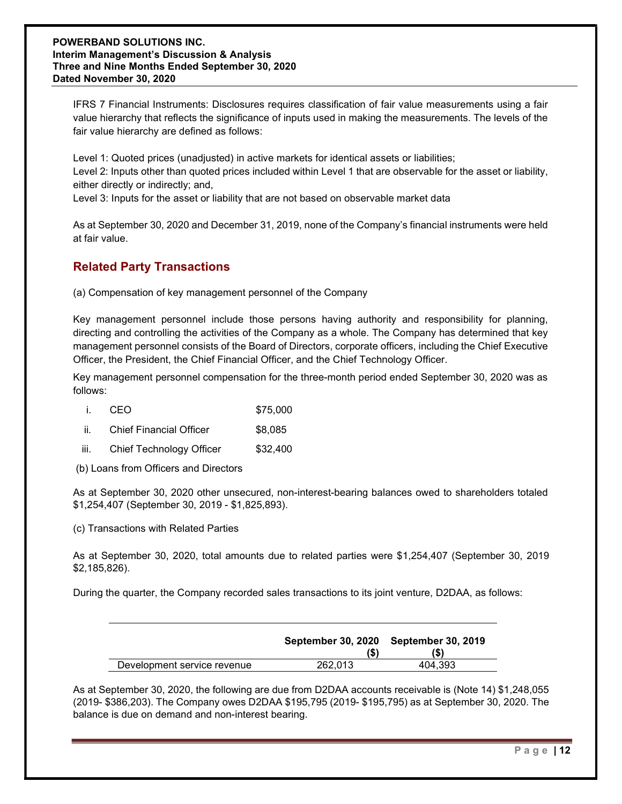IFRS 7 Financial Instruments: Disclosures requires classification of fair value measurements using a fair value hierarchy that reflects the significance of inputs used in making the measurements. The levels of the fair value hierarchy are defined as follows:

Level 1: Quoted prices (unadjusted) in active markets for identical assets or liabilities; Level 2: Inputs other than quoted prices included within Level 1 that are observable for the asset or liability, either directly or indirectly; and,

Level 3: Inputs for the asset or liability that are not based on observable market data

As at September 30, 2020 and December 31, 2019, none of the Company's financial instruments were held at fair value.

# Related Party Transactions

(a) Compensation of key management personnel of the Company

Key management personnel include those persons having authority and responsibility for planning, directing and controlling the activities of the Company as a whole. The Company has determined that key management personnel consists of the Board of Directors, corporate officers, including the Chief Executive Officer, the President, the Chief Financial Officer, and the Chief Technology Officer.

Key management personnel compensation for the three-month period ended September 30, 2020 was as follows:

| <b>CEO</b> | \$75,000 |
|------------|----------|
|            |          |

| <b>Chief Financial Officer</b> | \$8,085 |
|--------------------------------|---------|
|                                |         |

iii. Chief Technology Officer \$32,400

(b) Loans from Officers and Directors

As at September 30, 2020 other unsecured, non-interest-bearing balances owed to shareholders totaled \$1,254,407 (September 30, 2019 - \$1,825,893).

(c) Transactions with Related Parties

As at September 30, 2020, total amounts due to related parties were \$1,254,407 (September 30, 2019 \$2,185,826).

During the quarter, the Company recorded sales transactions to its joint venture, D2DAA, as follows:

|                             |         | September 30, 2020 September 30, 2019 |
|-----------------------------|---------|---------------------------------------|
| Development service revenue | 262.013 | 404.393                               |

As at September 30, 2020, the following are due from D2DAA accounts receivable is (Note 14) \$1,248,055 (2019- \$386,203). The Company owes D2DAA \$195,795 (2019- \$195,795) as at September 30, 2020. The balance is due on demand and non-interest bearing.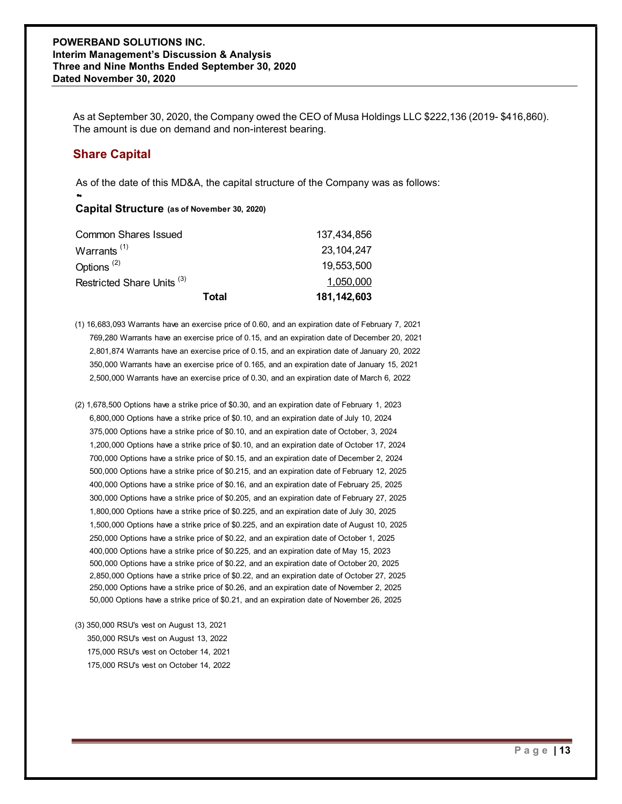# Share Capital

#### Capital Structure (as of November 30, 2020)

| <b>VERBAND SOLUTIONS INC.</b><br>im Management's Discussion & Analysis<br>e and Nine Months Ended September 30, 2020<br>d November 30, 2020 |                                                                                                      |  |  |  |
|---------------------------------------------------------------------------------------------------------------------------------------------|------------------------------------------------------------------------------------------------------|--|--|--|
|                                                                                                                                             |                                                                                                      |  |  |  |
| The amount is due on demand and non-interest bearing.                                                                                       | As at September 30, 2020, the Company owed the CEO of Musa Holdings LLC \$222,136 (2019- \$416,860). |  |  |  |
| <b>Share Capital</b>                                                                                                                        |                                                                                                      |  |  |  |
|                                                                                                                                             | As of the date of this MD&A, the capital structure of the Company was as follows:                    |  |  |  |
| Capital Structure (as of November 30, 2020)                                                                                                 |                                                                                                      |  |  |  |
| <b>Common Shares Issued</b>                                                                                                                 | 137,434,856                                                                                          |  |  |  |
| Warrants <sup>(1)</sup>                                                                                                                     | 23, 104, 247                                                                                         |  |  |  |
| Options <sup>(2)</sup>                                                                                                                      | 19,553,500                                                                                           |  |  |  |
| Restricted Share Units <sup>(3)</sup>                                                                                                       | 1,050,000                                                                                            |  |  |  |
| Total                                                                                                                                       | 181, 142, 603                                                                                        |  |  |  |

- (1) 16,683,093 Warrants have an exercise price of 0.60, and an expiration date of February 7, 2021 769,280 Warrants have an exercise price of 0.15, and an expiration date of December 20, 2021 2,801,874 Warrants have an exercise price of 0.15, and an expiration date of January 20, 2022 350,000 Warrants have an exercise price of 0.165, and an expiration date of January 15, 2021 2,500,000 Warrants have an exercise price of 0.30, and an expiration date of March 6, 2022
- (2) 1,678,500 Options have a strike price of \$0.30, and an expiration date of February 1, 2023 6,800,000 Options have a strike price of \$0.10, and an expiration date of July 10, 2024 375,000 Options have a strike price of \$0.10, and an expiration date of October, 3, 2024 1,200,000 Options have a strike price of \$0.10, and an expiration date of October 17, 2024 700,000 Options have a strike price of \$0.15, and an expiration date of December 2, 2024 500,000 Options have a strike price of \$0.215, and an expiration date of February 12, 2025 400,000 Options have a strike price of \$0.16, and an expiration date of February 25, 2025 300,000 Options have a strike price of \$0.205, and an expiration date of February 27, 2025 1,800,000 Options have a strike price of \$0.225, and an expiration date of July 30, 2025 1,500,000 Options have a strike price of \$0.225, and an expiration date of August 10, 2025 250,000 Options have a strike price of \$0.22, and an expiration date of October 1, 2025 400,000 Options have a strike price of \$0.225, and an expiration date of May 15, 2023 500,000 Options have a strike price of \$0.22, and an expiration date of October 20, 2025 2,850,000 Options have a strike price of \$0.22, and an expiration date of October 27, 2025 250,000 Options have a strike price of \$0.26, and an expiration date of November 2, 2025 50,000 Options have a strike price of \$0.21, and an expiration date of November 26, 2025
- (3) 350,000 RSU's vest on August 13, 2021 350,000 RSU's vest on August 13, 2022 175,000 RSU's vest on October 14, 2021 175,000 RSU's vest on October 14, 2022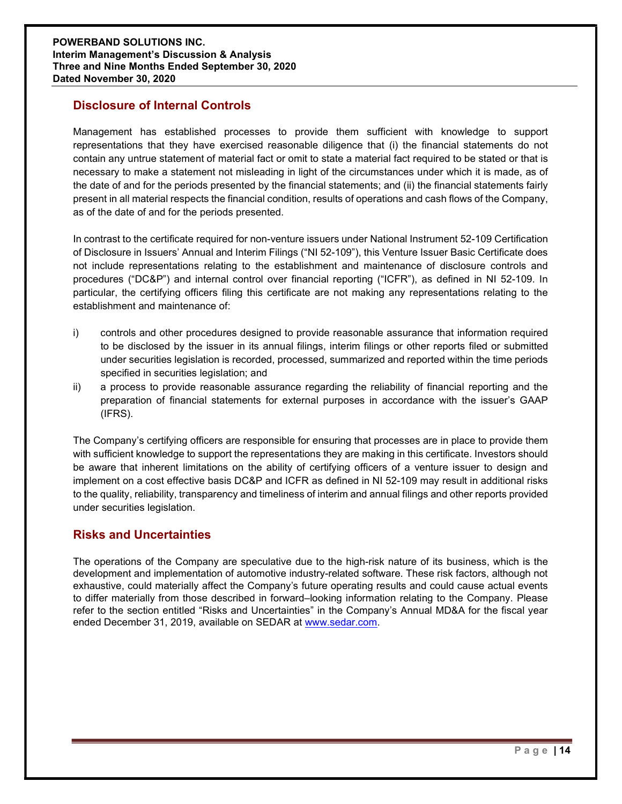# Disclosure of Internal Controls

Management has established processes to provide them sufficient with knowledge to support representations that they have exercised reasonable diligence that (i) the financial statements do not contain any untrue statement of material fact or omit to state a material fact required to be stated or that is necessary to make a statement not misleading in light of the circumstances under which it is made, as of the date of and for the periods presented by the financial statements; and (ii) the financial statements fairly present in all material respects the financial condition, results of operations and cash flows of the Company, as of the date of and for the periods presented.

In contrast to the certificate required for non-venture issuers under National Instrument 52-109 Certification of Disclosure in Issuers' Annual and Interim Filings ("NI 52-109"), this Venture Issuer Basic Certificate does not include representations relating to the establishment and maintenance of disclosure controls and procedures ("DC&P") and internal control over financial reporting ("ICFR"), as defined in NI 52-109. In particular, the certifying officers filing this certificate are not making any representations relating to the establishment and maintenance of:

- i) controls and other procedures designed to provide reasonable assurance that information required to be disclosed by the issuer in its annual filings, interim filings or other reports filed or submitted under securities legislation is recorded, processed, summarized and reported within the time periods specified in securities legislation; and
- ii) a process to provide reasonable assurance regarding the reliability of financial reporting and the preparation of financial statements for external purposes in accordance with the issuer's GAAP (IFRS).

The Company's certifying officers are responsible for ensuring that processes are in place to provide them with sufficient knowledge to support the representations they are making in this certificate. Investors should be aware that inherent limitations on the ability of certifying officers of a venture issuer to design and implement on a cost effective basis DC&P and ICFR as defined in NI 52-109 may result in additional risks to the quality, reliability, transparency and timeliness of interim and annual filings and other reports provided under securities legislation.

# Risks and Uncertainties

The operations of the Company are speculative due to the high-risk nature of its business, which is the development and implementation of automotive industry-related software. These risk factors, although not exhaustive, could materially affect the Company's future operating results and could cause actual events to differ materially from those described in forward–looking information relating to the Company. Please refer to the section entitled "Risks and Uncertainties" in the Company's Annual MD&A for the fiscal year ended December 31, 2019, available on SEDAR at www.sedar.com.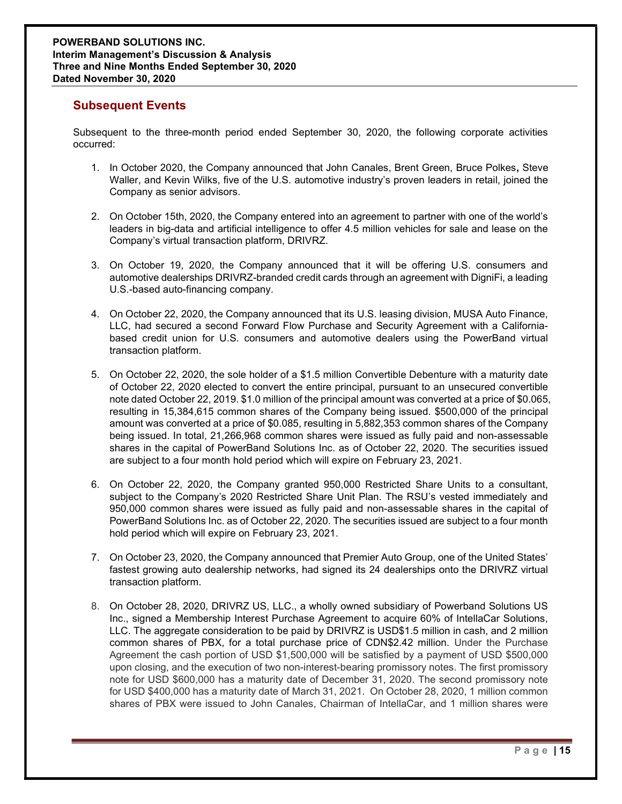## Subsequent Events

Subsequent to the three-month period ended September 30, 2020, the following corporate activities occurred:

- 1. In October 2020, the Company announced that John Canales, Brent Green, Bruce Polkes, Steve Waller, and Kevin Wilks, five of the U.S. automotive industry's proven leaders in retail, joined the Company as senior advisors.
- 2. On October 15th, 2020, the Company entered into an agreement to partner with one of the world's leaders in big-data and artificial intelligence to offer 4.5 million vehicles for sale and lease on the Company's virtual transaction platform, DRIVRZ.
- 3. On October 19, 2020, the Company announced that it will be offering U.S. consumers and automotive dealerships DRIVRZ-branded credit cards through an agreement with DigniFi, a leading U.S.-based auto-financing company.
- 4. On October 22, 2020, the Company announced that its U.S. leasing division, MUSA Auto Finance, LLC, had secured a second Forward Flow Purchase and Security Agreement with a Californiabased credit union for U.S. consumers and automotive dealers using the PowerBand virtual transaction platform.
- 5. On October 22, 2020, the sole holder of a \$1.5 million Convertible Debenture with a maturity date of October 22, 2020 elected to convert the entire principal, pursuant to an unsecured convertible note dated October 22, 2019. \$1.0 million of the principal amount was converted at a price of \$0.065, resulting in 15,384,615 common shares of the Company being issued. \$500,000 of the principal amount was converted at a price of \$0.085, resulting in 5,882,353 common shares of the Company being issued. In total, 21,266,968 common shares were issued as fully paid and non-assessable shares in the capital of PowerBand Solutions Inc. as of October 22, 2020. The securities issued are subject to a four month hold period which will expire on February 23, 2021.
- 6. On October 22, 2020, the Company granted 950,000 Restricted Share Units to a consultant, subject to the Company's 2020 Restricted Share Unit Plan. The RSU's vested immediately and 950,000 common shares were issued as fully paid and non-assessable shares in the capital of PowerBand Solutions Inc. as of October 22, 2020. The securities issued are subject to a four month hold period which will expire on February 23, 2021.
- 7. On October 23, 2020, the Company announced that Premier Auto Group, one of the United States' fastest growing auto dealership networks, had signed its 24 dealerships onto the DRIVRZ virtual transaction platform.
- 8. On October 28, 2020, DRIVRZ US, LLC., a wholly owned subsidiary of Powerband Solutions US Inc., signed a Membership Interest Purchase Agreement to acquire 60% of IntellaCar Solutions, LLC. The aggregate consideration to be paid by DRIVRZ is USD\$1.5 million in cash, and 2 million common shares of PBX, for a total purchase price of CDN\$2.42 million. Under the Purchase Agreement the cash portion of USD \$1,500,000 will be satisfied by a payment of USD \$500,000 upon closing, and the execution of two non-interest-bearing promissory notes. The first promissory note for USD \$600,000 has a maturity date of December 31, 2020. The second promissory note for USD \$400,000 has a maturity date of March 31, 2021. On October 28, 2020, 1 million common shares of PBX were issued to John Canales, Chairman of IntellaCar, and 1 million shares were